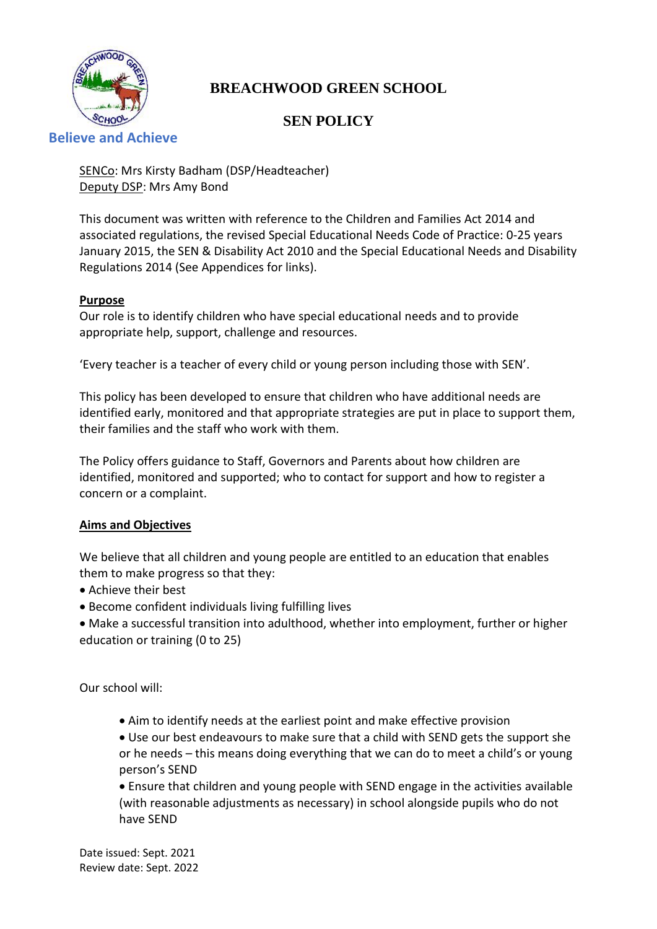

# **BREACHWOOD GREEN SCHOOL**

# **SEN POLICY**

## **Believe and Achieve**

SENCo: Mrs Kirsty Badham (DSP/Headteacher) Deputy DSP: Mrs Amy Bond

This document was written with reference to the Children and Families Act 2014 and associated regulations, the revised Special Educational Needs Code of Practice: 0-25 years January 2015, the SEN & Disability Act 2010 and the Special Educational Needs and Disability Regulations 2014 (See Appendices for links).

## **Purpose**

Our role is to identify children who have special educational needs and to provide appropriate help, support, challenge and resources.

'Every teacher is a teacher of every child or young person including those with SEN'.

This policy has been developed to ensure that children who have additional needs are identified early, monitored and that appropriate strategies are put in place to support them, their families and the staff who work with them.

The Policy offers guidance to Staff, Governors and Parents about how children are identified, monitored and supported; who to contact for support and how to register a concern or a complaint.

## **Aims and Objectives**

We believe that all children and young people are entitled to an education that enables them to make progress so that they:

- Achieve their best
- Become confident individuals living fulfilling lives
- Make a successful transition into adulthood, whether into employment, further or higher education or training (0 to 25)

Our school will:

• Aim to identify needs at the earliest point and make effective provision

• Use our best endeavours to make sure that a child with SEND gets the support she or he needs – this means doing everything that we can do to meet a child's or young person's SEND

• Ensure that children and young people with SEND engage in the activities available (with reasonable adjustments as necessary) in school alongside pupils who do not have SEND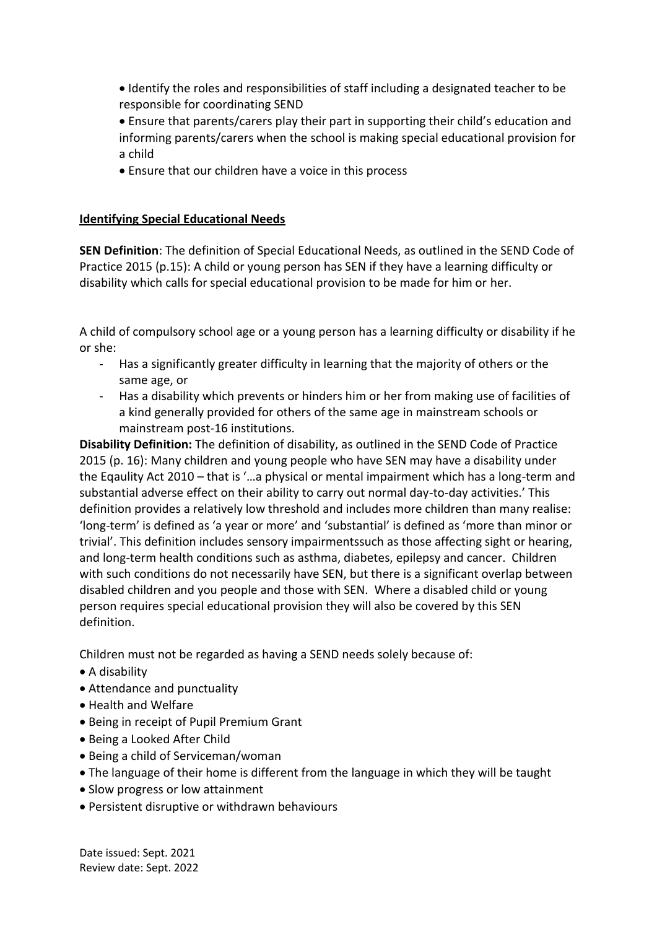- Identify the roles and responsibilities of staff including a designated teacher to be responsible for coordinating SEND
- Ensure that parents/carers play their part in supporting their child's education and informing parents/carers when the school is making special educational provision for a child
- Ensure that our children have a voice in this process

## **Identifying Special Educational Needs**

**SEN Definition**: The definition of Special Educational Needs, as outlined in the SEND Code of Practice 2015 (p.15): A child or young person has SEN if they have a learning difficulty or disability which calls for special educational provision to be made for him or her.

A child of compulsory school age or a young person has a learning difficulty or disability if he or she:

- Has a significantly greater difficulty in learning that the majority of others or the same age, or
- Has a disability which prevents or hinders him or her from making use of facilities of a kind generally provided for others of the same age in mainstream schools or mainstream post-16 institutions.

**Disability Definition:** The definition of disability, as outlined in the SEND Code of Practice 2015 (p. 16): Many children and young people who have SEN may have a disability under the Eqaulity Act 2010 – that is '…a physical or mental impairment which has a long-term and substantial adverse effect on their ability to carry out normal day-to-day activities.' This definition provides a relatively low threshold and includes more children than many realise: 'long-term' is defined as 'a year or more' and 'substantial' is defined as 'more than minor or trivial'. This definition includes sensory impairmentssuch as those affecting sight or hearing, and long-term health conditions such as asthma, diabetes, epilepsy and cancer. Children with such conditions do not necessarily have SEN, but there is a significant overlap between disabled children and you people and those with SEN. Where a disabled child or young person requires special educational provision they will also be covered by this SEN definition.

Children must not be regarded as having a SEND needs solely because of:

- A disability
- Attendance and punctuality
- Health and Welfare
- Being in receipt of Pupil Premium Grant
- Being a Looked After Child
- Being a child of Serviceman/woman
- The language of their home is different from the language in which they will be taught
- Slow progress or low attainment
- Persistent disruptive or withdrawn behaviours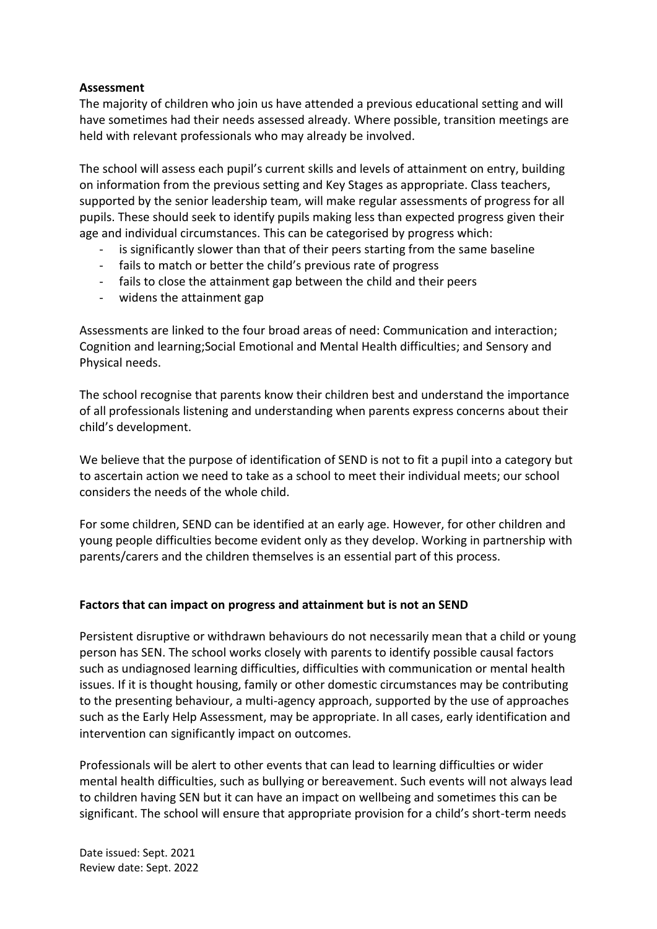## **Assessment**

The majority of children who join us have attended a previous educational setting and will have sometimes had their needs assessed already. Where possible, transition meetings are held with relevant professionals who may already be involved.

The school will assess each pupil's current skills and levels of attainment on entry, building on information from the previous setting and Key Stages as appropriate. Class teachers, supported by the senior leadership team, will make regular assessments of progress for all pupils. These should seek to identify pupils making less than expected progress given their age and individual circumstances. This can be categorised by progress which:

- is significantly slower than that of their peers starting from the same baseline
- fails to match or better the child's previous rate of progress
- fails to close the attainment gap between the child and their peers
- widens the attainment gap

Assessments are linked to the four broad areas of need: Communication and interaction; Cognition and learning;Social Emotional and Mental Health difficulties; and Sensory and Physical needs.

The school recognise that parents know their children best and understand the importance of all professionals listening and understanding when parents express concerns about their child's development.

We believe that the purpose of identification of SEND is not to fit a pupil into a category but to ascertain action we need to take as a school to meet their individual meets; our school considers the needs of the whole child.

For some children, SEND can be identified at an early age. However, for other children and young people difficulties become evident only as they develop. Working in partnership with parents/carers and the children themselves is an essential part of this process.

## **Factors that can impact on progress and attainment but is not an SEND**

Persistent disruptive or withdrawn behaviours do not necessarily mean that a child or young person has SEN. The school works closely with parents to identify possible causal factors such as undiagnosed learning difficulties, difficulties with communication or mental health issues. If it is thought housing, family or other domestic circumstances may be contributing to the presenting behaviour, a multi-agency approach, supported by the use of approaches such as the Early Help Assessment, may be appropriate. In all cases, early identification and intervention can significantly impact on outcomes.

Professionals will be alert to other events that can lead to learning difficulties or wider mental health difficulties, such as bullying or bereavement. Such events will not always lead to children having SEN but it can have an impact on wellbeing and sometimes this can be significant. The school will ensure that appropriate provision for a child's short-term needs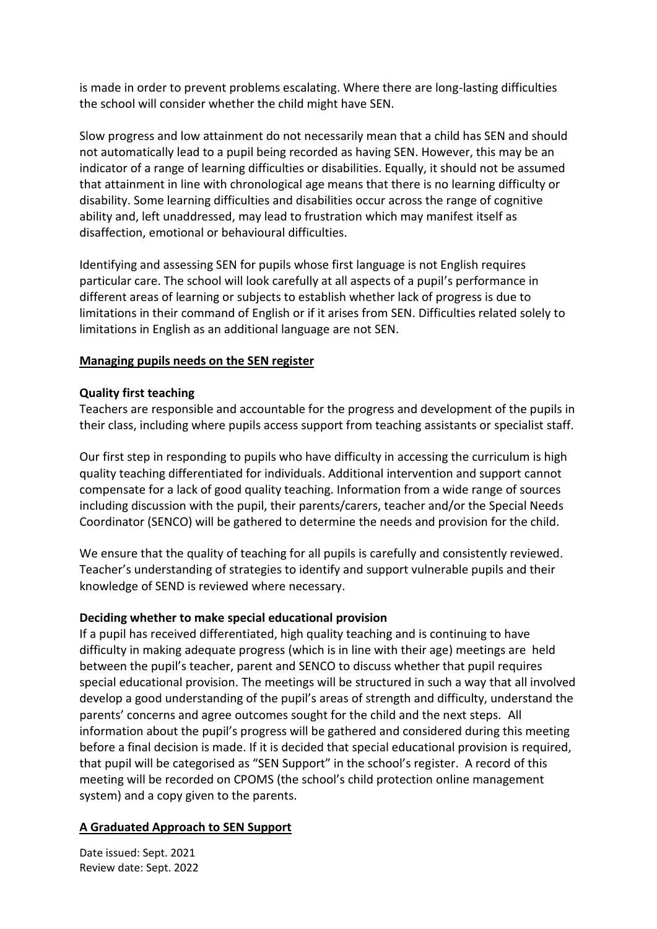is made in order to prevent problems escalating. Where there are long-lasting difficulties the school will consider whether the child might have SEN.

Slow progress and low attainment do not necessarily mean that a child has SEN and should not automatically lead to a pupil being recorded as having SEN. However, this may be an indicator of a range of learning difficulties or disabilities. Equally, it should not be assumed that attainment in line with chronological age means that there is no learning difficulty or disability. Some learning difficulties and disabilities occur across the range of cognitive ability and, left unaddressed, may lead to frustration which may manifest itself as disaffection, emotional or behavioural difficulties.

Identifying and assessing SEN for pupils whose first language is not English requires particular care. The school will look carefully at all aspects of a pupil's performance in different areas of learning or subjects to establish whether lack of progress is due to limitations in their command of English or if it arises from SEN. Difficulties related solely to limitations in English as an additional language are not SEN.

## **Managing pupils needs on the SEN register**

## **Quality first teaching**

Teachers are responsible and accountable for the progress and development of the pupils in their class, including where pupils access support from teaching assistants or specialist staff.

Our first step in responding to pupils who have difficulty in accessing the curriculum is high quality teaching differentiated for individuals. Additional intervention and support cannot compensate for a lack of good quality teaching. Information from a wide range of sources including discussion with the pupil, their parents/carers, teacher and/or the Special Needs Coordinator (SENCO) will be gathered to determine the needs and provision for the child.

We ensure that the quality of teaching for all pupils is carefully and consistently reviewed. Teacher's understanding of strategies to identify and support vulnerable pupils and their knowledge of SEND is reviewed where necessary.

## **Deciding whether to make special educational provision**

If a pupil has received differentiated, high quality teaching and is continuing to have difficulty in making adequate progress (which is in line with their age) meetings are held between the pupil's teacher, parent and SENCO to discuss whether that pupil requires special educational provision. The meetings will be structured in such a way that all involved develop a good understanding of the pupil's areas of strength and difficulty, understand the parents' concerns and agree outcomes sought for the child and the next steps. All information about the pupil's progress will be gathered and considered during this meeting before a final decision is made. If it is decided that special educational provision is required, that pupil will be categorised as "SEN Support" in the school's register. A record of this meeting will be recorded on CPOMS (the school's child protection online management system) and a copy given to the parents.

## **A Graduated Approach to SEN Support**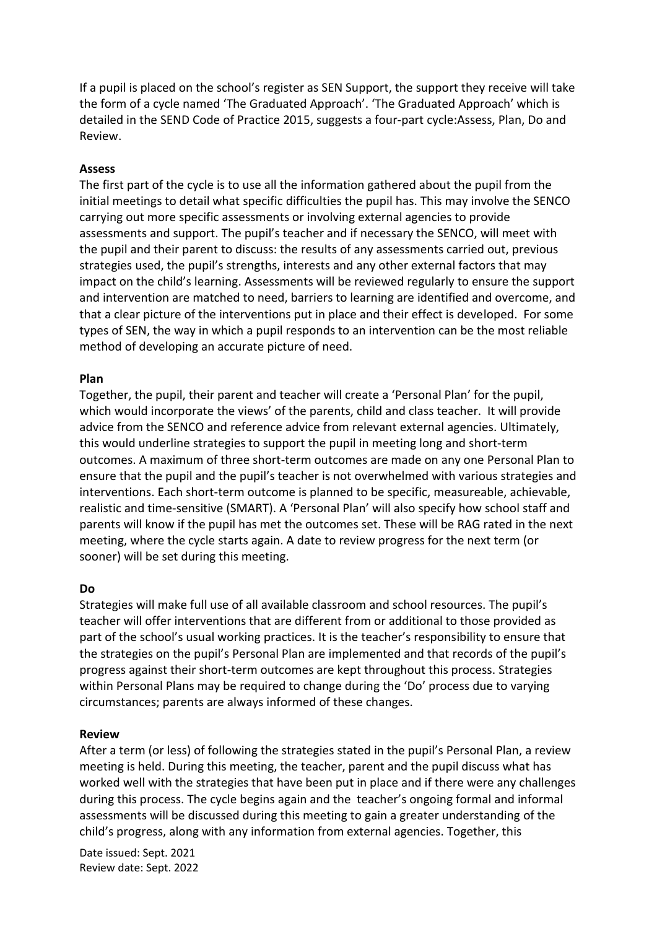If a pupil is placed on the school's register as SEN Support, the support they receive will take the form of a cycle named 'The Graduated Approach'. 'The Graduated Approach' which is detailed in the SEND Code of Practice 2015, suggests a four-part cycle:Assess, Plan, Do and Review.

### **Assess**

The first part of the cycle is to use all the information gathered about the pupil from the initial meetings to detail what specific difficulties the pupil has. This may involve the SENCO carrying out more specific assessments or involving external agencies to provide assessments and support. The pupil's teacher and if necessary the SENCO, will meet with the pupil and their parent to discuss: the results of any assessments carried out, previous strategies used, the pupil's strengths, interests and any other external factors that may impact on the child's learning. Assessments will be reviewed regularly to ensure the support and intervention are matched to need, barriers to learning are identified and overcome, and that a clear picture of the interventions put in place and their effect is developed. For some types of SEN, the way in which a pupil responds to an intervention can be the most reliable method of developing an accurate picture of need.

#### **Plan**

Together, the pupil, their parent and teacher will create a 'Personal Plan' for the pupil, which would incorporate the views' of the parents, child and class teacher. It will provide advice from the SENCO and reference advice from relevant external agencies. Ultimately, this would underline strategies to support the pupil in meeting long and short-term outcomes. A maximum of three short-term outcomes are made on any one Personal Plan to ensure that the pupil and the pupil's teacher is not overwhelmed with various strategies and interventions. Each short-term outcome is planned to be specific, measureable, achievable, realistic and time-sensitive (SMART). A 'Personal Plan' will also specify how school staff and parents will know if the pupil has met the outcomes set. These will be RAG rated in the next meeting, where the cycle starts again. A date to review progress for the next term (or sooner) will be set during this meeting.

### **Do**

Strategies will make full use of all available classroom and school resources. The pupil's teacher will offer interventions that are different from or additional to those provided as part of the school's usual working practices. It is the teacher's responsibility to ensure that the strategies on the pupil's Personal Plan are implemented and that records of the pupil's progress against their short-term outcomes are kept throughout this process. Strategies within Personal Plans may be required to change during the 'Do' process due to varying circumstances; parents are always informed of these changes.

#### **Review**

After a term (or less) of following the strategies stated in the pupil's Personal Plan, a review meeting is held. During this meeting, the teacher, parent and the pupil discuss what has worked well with the strategies that have been put in place and if there were any challenges during this process. The cycle begins again and the teacher's ongoing formal and informal assessments will be discussed during this meeting to gain a greater understanding of the child's progress, along with any information from external agencies. Together, this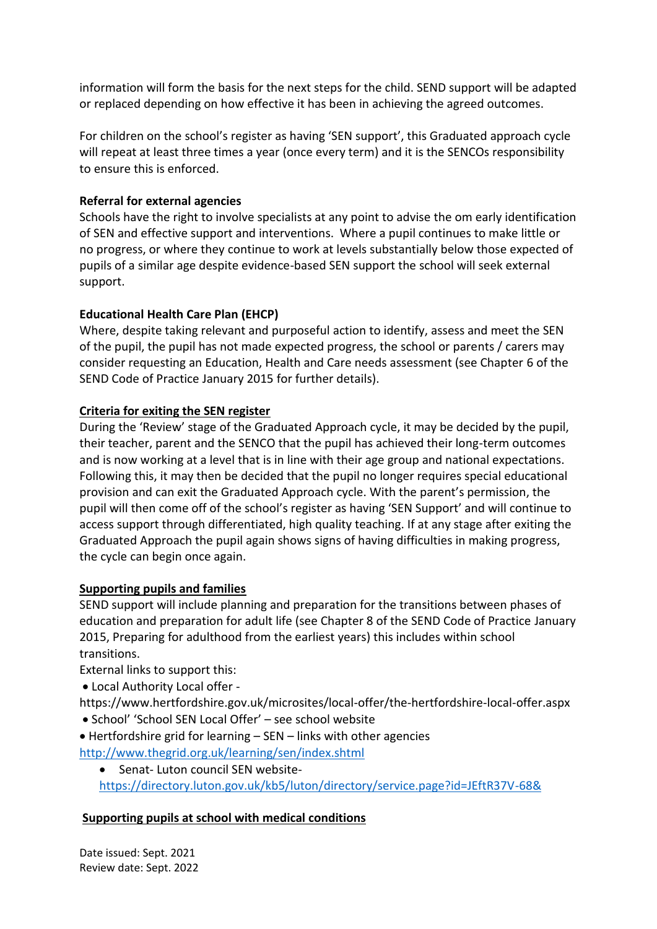information will form the basis for the next steps for the child. SEND support will be adapted or replaced depending on how effective it has been in achieving the agreed outcomes.

For children on the school's register as having 'SEN support', this Graduated approach cycle will repeat at least three times a year (once every term) and it is the SENCOs responsibility to ensure this is enforced.

## **Referral for external agencies**

Schools have the right to involve specialists at any point to advise the om early identification of SEN and effective support and interventions. Where a pupil continues to make little or no progress, or where they continue to work at levels substantially below those expected of pupils of a similar age despite evidence-based SEN support the school will seek external support.

## **Educational Health Care Plan (EHCP)**

Where, despite taking relevant and purposeful action to identify, assess and meet the SEN of the pupil, the pupil has not made expected progress, the school or parents / carers may consider requesting an Education, Health and Care needs assessment (see Chapter 6 of the SEND Code of Practice January 2015 for further details).

## **Criteria for exiting the SEN register**

During the 'Review' stage of the Graduated Approach cycle, it may be decided by the pupil, their teacher, parent and the SENCO that the pupil has achieved their long-term outcomes and is now working at a level that is in line with their age group and national expectations. Following this, it may then be decided that the pupil no longer requires special educational provision and can exit the Graduated Approach cycle. With the parent's permission, the pupil will then come off of the school's register as having 'SEN Support' and will continue to access support through differentiated, high quality teaching. If at any stage after exiting the Graduated Approach the pupil again shows signs of having difficulties in making progress, the cycle can begin once again.

## **Supporting pupils and families**

SEND support will include planning and preparation for the transitions between phases of education and preparation for adult life (see Chapter 8 of the SEND Code of Practice January 2015, Preparing for adulthood from the earliest years) this includes within school transitions.

External links to support this:

• Local Authority Local offer -

https://www.hertfordshire.gov.uk/microsites/local-offer/the-hertfordshire-local-offer.aspx

- School' 'School SEN Local Offer' see school website
- Hertfordshire grid for learning SEN links with other agencies
- <http://www.thegrid.org.uk/learning/sen/index.shtml>
	- Senat- Luton council SEN website<https://directory.luton.gov.uk/kb5/luton/directory/service.page?id=JEftR37V-68&>

# **Supporting pupils at school with medical conditions**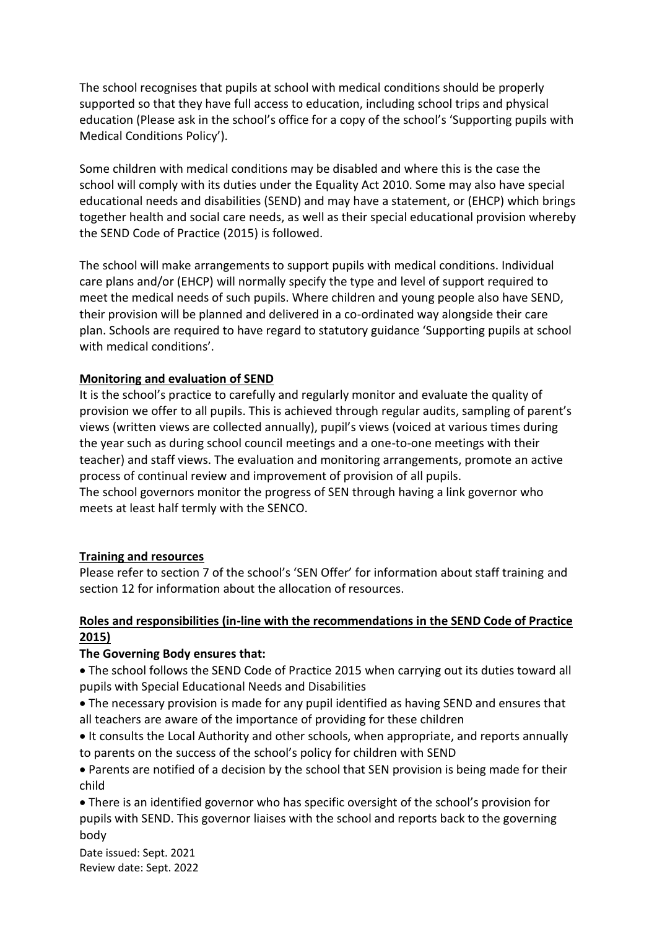The school recognises that pupils at school with medical conditions should be properly supported so that they have full access to education, including school trips and physical education (Please ask in the school's office for a copy of the school's 'Supporting pupils with Medical Conditions Policy').

Some children with medical conditions may be disabled and where this is the case the school will comply with its duties under the Equality Act 2010. Some may also have special educational needs and disabilities (SEND) and may have a statement, or (EHCP) which brings together health and social care needs, as well as their special educational provision whereby the SEND Code of Practice (2015) is followed.

The school will make arrangements to support pupils with medical conditions. Individual care plans and/or (EHCP) will normally specify the type and level of support required to meet the medical needs of such pupils. Where children and young people also have SEND, their provision will be planned and delivered in a co-ordinated way alongside their care plan. Schools are required to have regard to statutory guidance 'Supporting pupils at school with medical conditions'.

## **Monitoring and evaluation of SEND**

It is the school's practice to carefully and regularly monitor and evaluate the quality of provision we offer to all pupils. This is achieved through regular audits, sampling of parent's views (written views are collected annually), pupil's views (voiced at various times during the year such as during school council meetings and a one-to-one meetings with their teacher) and staff views. The evaluation and monitoring arrangements, promote an active process of continual review and improvement of provision of all pupils.

The school governors monitor the progress of SEN through having a link governor who meets at least half termly with the SENCO.

## **Training and resources**

Please refer to section 7 of the school's 'SEN Offer' for information about staff training and section 12 for information about the allocation of resources.

## **Roles and responsibilities (in-line with the recommendations in the SEND Code of Practice 2015)**

## **The Governing Body ensures that:**

• The school follows the SEND Code of Practice 2015 when carrying out its duties toward all pupils with Special Educational Needs and Disabilities

• The necessary provision is made for any pupil identified as having SEND and ensures that all teachers are aware of the importance of providing for these children

• It consults the Local Authority and other schools, when appropriate, and reports annually to parents on the success of the school's policy for children with SEND

• Parents are notified of a decision by the school that SEN provision is being made for their child

• There is an identified governor who has specific oversight of the school's provision for pupils with SEND. This governor liaises with the school and reports back to the governing body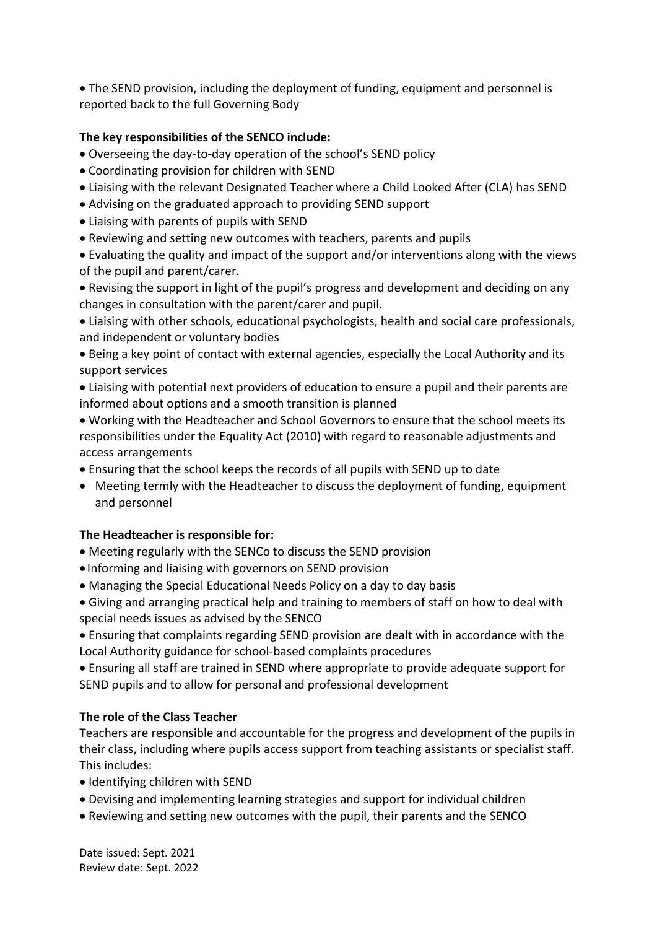• The SEND provision, including the deployment of funding, equipment and personnel is reported back to the full Governing Body

## **The key responsibilities of the SENCO include:**

- Overseeing the day-to-day operation of the school's SEND policy
- Coordinating provision for children with SEND
- Liaising with the relevant Designated Teacher where a Child Looked After (CLA) has SEND
- Advising on the graduated approach to providing SEND support
- Liaising with parents of pupils with SEND
- Reviewing and setting new outcomes with teachers, parents and pupils

• Evaluating the quality and impact of the support and/or interventions along with the views of the pupil and parent/carer.

• Revising the support in light of the pupil's progress and development and deciding on any changes in consultation with the parent/carer and pupil.

• Liaising with other schools, educational psychologists, health and social care professionals, and independent or voluntary bodies

• Being a key point of contact with external agencies, especially the Local Authority and its support services

• Liaising with potential next providers of education to ensure a pupil and their parents are informed about options and a smooth transition is planned

• Working with the Headteacher and School Governors to ensure that the school meets its responsibilities under the Equality Act (2010) with regard to reasonable adjustments and access arrangements

- Ensuring that the school keeps the records of all pupils with SEND up to date
- Meeting termly with the Headteacher to discuss the deployment of funding, equipment and personnel

## **The Headteacher is responsible for:**

- Meeting regularly with the SENCo to discuss the SEND provision
- Informing and liaising with governors on SEND provision
- Managing the Special Educational Needs Policy on a day to day basis
- Giving and arranging practical help and training to members of staff on how to deal with special needs issues as advised by the SENCO

• Ensuring that complaints regarding SEND provision are dealt with in accordance with the Local Authority guidance for school-based complaints procedures

• Ensuring all staff are trained in SEND where appropriate to provide adequate support for SEND pupils and to allow for personal and professional development

## **The role of the Class Teacher**

Teachers are responsible and accountable for the progress and development of the pupils in their class, including where pupils access support from teaching assistants or specialist staff. This includes:

- Identifying children with SEND
- Devising and implementing learning strategies and support for individual children
- Reviewing and setting new outcomes with the pupil, their parents and the SENCO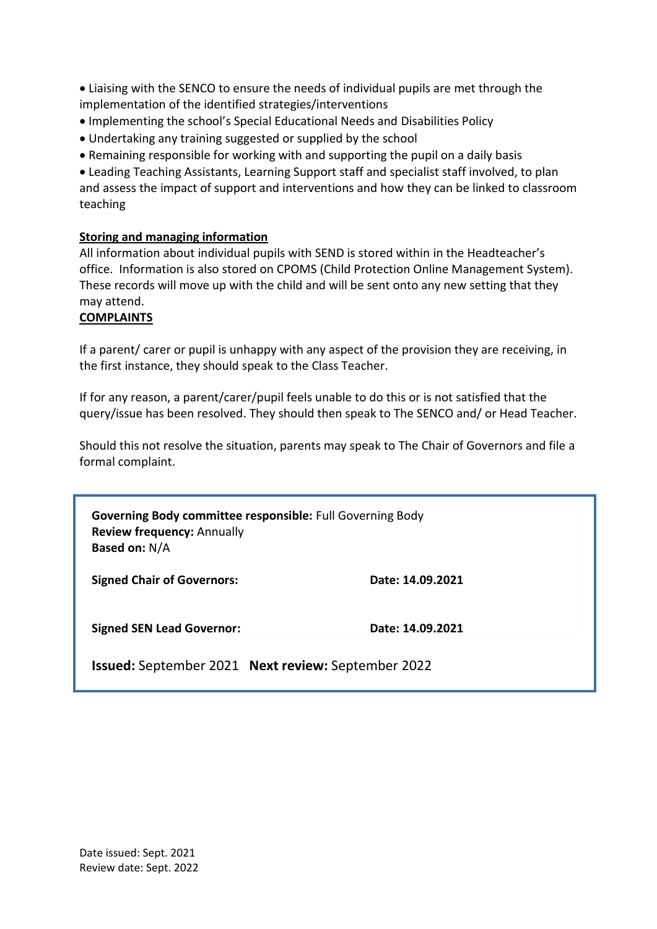• Liaising with the SENCO to ensure the needs of individual pupils are met through the implementation of the identified strategies/interventions

- Implementing the school's Special Educational Needs and Disabilities Policy
- Undertaking any training suggested or supplied by the school
- Remaining responsible for working with and supporting the pupil on a daily basis

• Leading Teaching Assistants, Learning Support staff and specialist staff involved, to plan and assess the impact of support and interventions and how they can be linked to classroom teaching

## **Storing and managing information**

All information about individual pupils with SEND is stored within in the Headteacher's office. Information is also stored on CPOMS (Child Protection Online Management System). These records will move up with the child and will be sent onto any new setting that they may attend.

## **COMPLAINTS**

If a parent/ carer or pupil is unhappy with any aspect of the provision they are receiving, in the first instance, they should speak to the Class Teacher.

If for any reason, a parent/carer/pupil feels unable to do this or is not satisfied that the query/issue has been resolved. They should then speak to The SENCO and/ or Head Teacher.

Should this not resolve the situation, parents may speak to The Chair of Governors and file a formal complaint.

**Governing Body committee responsible:** Full Governing Body **Review frequency:** Annually **Based on:** N/A

**Signed Chair of Governors: Date: 14.09.2021**

**Signed SEN Lead Governor: Date: 14.09.2021**

**Issued:** September 2021 **Next review:** September 2022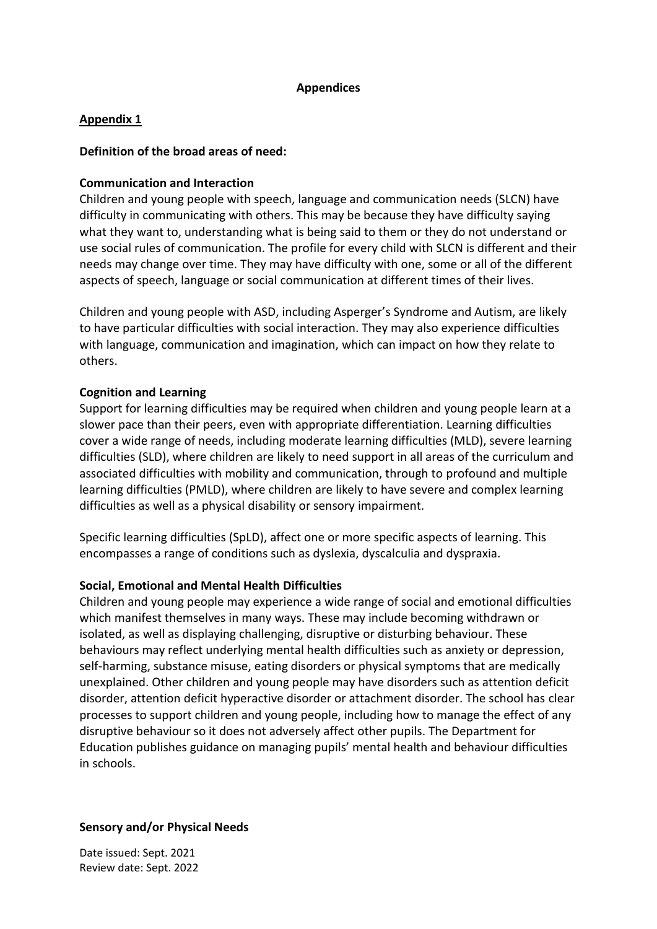## **Appendices**

## **Appendix 1**

## **Definition of the broad areas of need:**

## **Communication and Interaction**

Children and young people with speech, language and communication needs (SLCN) have difficulty in communicating with others. This may be because they have difficulty saying what they want to, understanding what is being said to them or they do not understand or use social rules of communication. The profile for every child with SLCN is different and their needs may change over time. They may have difficulty with one, some or all of the different aspects of speech, language or social communication at different times of their lives.

Children and young people with ASD, including Asperger's Syndrome and Autism, are likely to have particular difficulties with social interaction. They may also experience difficulties with language, communication and imagination, which can impact on how they relate to others.

## **Cognition and Learning**

Support for learning difficulties may be required when children and young people learn at a slower pace than their peers, even with appropriate differentiation. Learning difficulties cover a wide range of needs, including moderate learning difficulties (MLD), severe learning difficulties (SLD), where children are likely to need support in all areas of the curriculum and associated difficulties with mobility and communication, through to profound and multiple learning difficulties (PMLD), where children are likely to have severe and complex learning difficulties as well as a physical disability or sensory impairment.

Specific learning difficulties (SpLD), affect one or more specific aspects of learning. This encompasses a range of conditions such as dyslexia, dyscalculia and dyspraxia.

## **Social, Emotional and Mental Health Difficulties**

Children and young people may experience a wide range of social and emotional difficulties which manifest themselves in many ways. These may include becoming withdrawn or isolated, as well as displaying challenging, disruptive or disturbing behaviour. These behaviours may reflect underlying mental health difficulties such as anxiety or depression, self-harming, substance misuse, eating disorders or physical symptoms that are medically unexplained. Other children and young people may have disorders such as attention deficit disorder, attention deficit hyperactive disorder or attachment disorder. The school has clear processes to support children and young people, including how to manage the effect of any disruptive behaviour so it does not adversely affect other pupils. The Department for Education publishes guidance on managing pupils' mental health and behaviour difficulties in schools.

## **Sensory and/or Physical Needs**